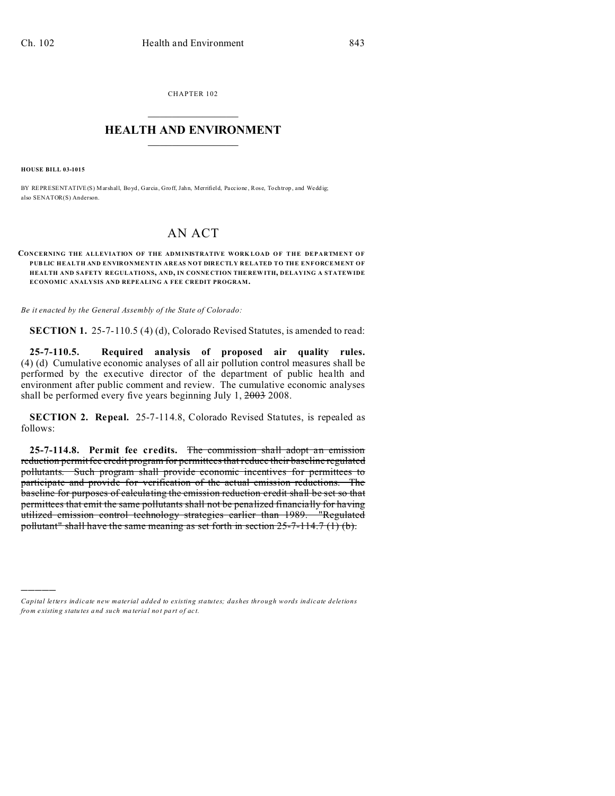CHAPTER 102  $\overline{\phantom{a}}$  , where  $\overline{\phantom{a}}$ 

## **HEALTH AND ENVIRONMENT**  $\_$   $\_$   $\_$   $\_$   $\_$   $\_$   $\_$   $\_$

**HOUSE BILL 03-1015**

)))))

BY REPRESENTATIVE(S) Marshall, Boyd, Garcia, Groff, Jahn, Merrifield, Paccione, Rose, Tochtrop, and Weddig; also SENATOR(S) Anderson.

## AN ACT

## **CONCERNING THE ALLEVIATION OF THE ADM INISTRATIVE WORK LOAD OF THE DEPARTMENT OF PUB LIC HEALTH AND ENVIRONMENT IN AREAS NOT DIRECTLY RELATED TO THE ENFORCEMENT OF HEALTH AND SAFETY REGULATIONS, AND, IN CONNE CTION THE REW ITH, DELAYING A STATEWIDE ECONOMIC ANALYSIS AND REPEALING A FEE CREDIT PROGRAM.**

*Be it enacted by the General Assembly of the State of Colorado:*

**SECTION 1.** 25-7-110.5 (4) (d), Colorado Revised Statutes, is amended to read:

**25-7-110.5. Required analysis of proposed air quality rules.** (4) (d) Cumulative economic analyses of all air pollution control measures shall be performed by the executive director of the department of public health and environment after public comment and review. The cumulative economic analyses shall be performed every five years beginning July 1, 2003 2008.

**SECTION 2. Repeal.** 25-7-114.8, Colorado Revised Statutes, is repealed as follows:

**25-7-114.8. Permit fee credits.** The commission shall adopt an emission reduction permit fee credit program for permittees that reduce their baseline regulated pollutants. Such program shall provide economic incentives for permittees to participate and provide for verification of the actual emission reductions. The baseline for purposes of calculating the emission reduction credit shall be set so that permittees that emit the same pollutants shall not be penalized financially for having utilized emission control technology strategies earlier than 1989. "Regulated pollutant" shall have the same meaning as set forth in section 25-7-114.7 (1) (b).

*Capital letters indicate new material added to existing statutes; dashes through words indicate deletions from e xistin g statu tes a nd such ma teria l no t pa rt of ac t.*